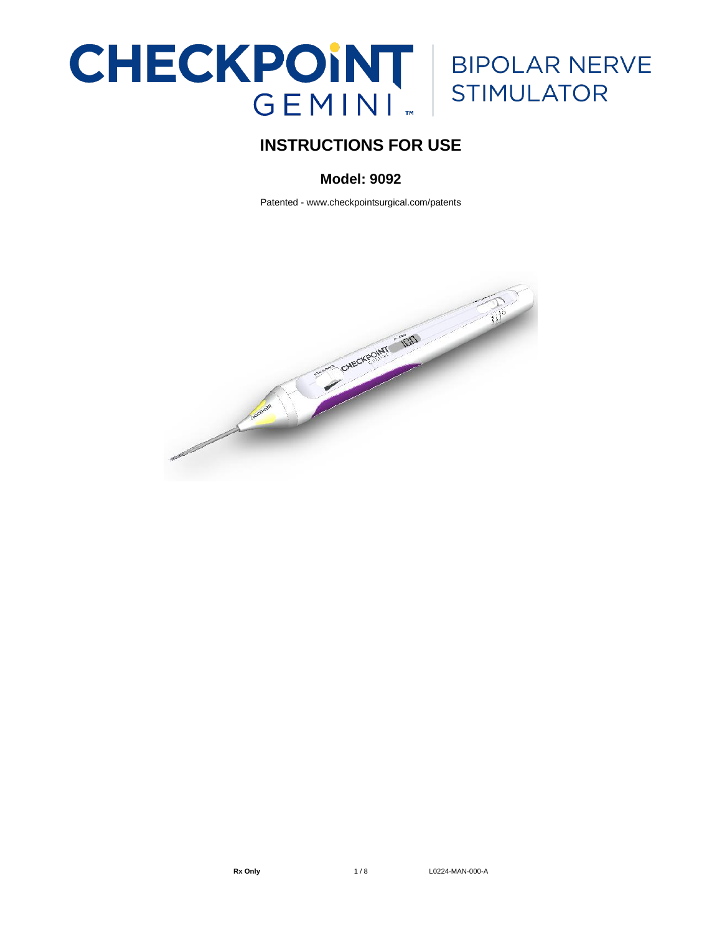# **CHECKPOINT** | BIPOLAR NERVE<br>
GEMINI <sub>"</sub> STIMULATOR

# **INSTRUCTIONS FOR USE**

## **Model: 9092**

Patented - www.checkpointsurgical.com/patents

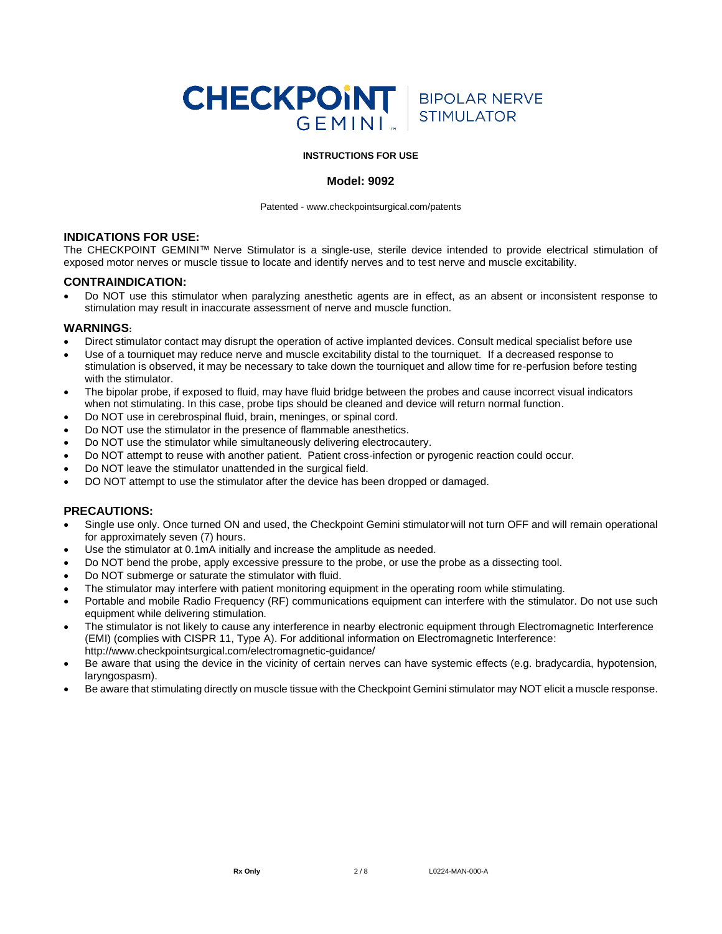

#### **INSTRUCTIONS FOR USE**

#### **Model: 9092**

Patented - [www.checkpointsurgical.com/patents](http://www.checkpointsurgical.com/patents)

### **INDICATIONS FOR USE:**

The CHECKPOINT GEMINI™ Nerve Stimulator is a single-use, sterile device intended to provide electrical stimulation of exposed motor nerves or muscle tissue to locate and identify nerves and to test nerve and muscle excitability.

#### **CONTRAINDICATION:**

• Do NOT use this stimulator when paralyzing anesthetic agents are in effect, as an absent or inconsistent response to stimulation may result in inaccurate assessment of nerve and muscle function.

#### **WARNINGS:**

- Direct stimulator contact may disrupt the operation of active implanted devices. Consult medical specialist before use
- Use of a tourniquet may reduce nerve and muscle excitability distal to the tourniquet. If a decreased response to stimulation is observed, it may be necessary to take down the tourniquet and allow time for re-perfusion before testing with the stimulator.
- The bipolar probe, if exposed to fluid, may have fluid bridge between the probes and cause incorrect visual indicators when not stimulating. In this case, probe tips should be cleaned and device will return normal function.
- Do NOT use in cerebrospinal fluid, brain, meninges, or spinal cord.
- Do NOT use the stimulator in the presence of flammable anesthetics.
- Do NOT use the stimulator while simultaneously delivering electrocautery.
- Do NOT attempt to reuse with another patient. Patient cross-infection or pyrogenic reaction could occur.
- Do NOT leave the stimulator unattended in the surgical field.
- DO NOT attempt to use the stimulator after the device has been dropped or damaged.

#### **PRECAUTIONS:**

- Single use only. Once turned ON and used, the Checkpoint Gemini stimulator will not turn OFF and will remain operational for approximately seven (7) hours.
- Use the stimulator at 0.1mA initially and increase the amplitude as needed.
- Do NOT bend the probe, apply excessive pressure to the probe, or use the probe as a dissecting tool.
- Do NOT submerge or saturate the stimulator with fluid.
- The stimulator may interfere with patient monitoring equipment in the operating room while stimulating.
- Portable and mobile Radio Frequency (RF) communications equipment can interfere with the stimulator. Do not use such equipment while delivering stimulation.
- The stimulator is not likely to cause any interference in nearby electronic equipment through Electromagnetic Interference (EMI) (complies with CISPR 11, Type A). For additional information on Electromagnetic Interference: http://www.checkpointsurgical.com/electromagnetic-guidance/
- Be aware that using the device in the vicinity of certain nerves can have systemic effects (e.g. bradycardia, hypotension, laryngospasm).
- Be aware that stimulating directly on muscle tissue with the Checkpoint Gemini stimulator may NOT elicit a muscle response.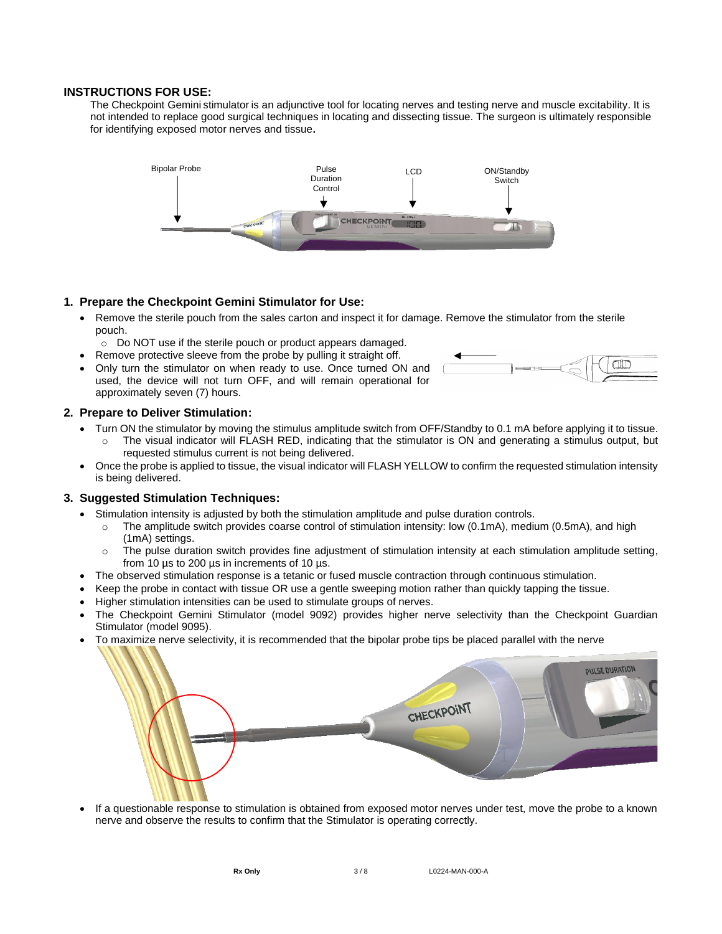#### **INSTRUCTIONS FOR USE:**

The Checkpoint Gemini stimulator is an adjunctive tool for locating nerves and testing nerve and muscle excitability. It is not intended to replace good surgical techniques in locating and dissecting tissue. The surgeon is ultimately responsible for identifying exposed motor nerves and tissue**.**



#### **1. Prepare the Checkpoint Gemini Stimulator for Use:**

- Remove the sterile pouch from the sales carton and inspect it for damage. Remove the stimulator from the sterile pouch.
- o Do NOT use if the sterile pouch or product appears damaged.
- Remove protective sleeve from the probe by pulling it straight off.
- Only turn the stimulator on when ready to use. Once turned ON and used, the device will not turn OFF, and will remain operational for approximately seven (7) hours.



#### **2. Prepare to Deliver Stimulation:**

- Turn ON the stimulator by moving the stimulus amplitude switch from OFF/Standby to 0.1 mA before applying it to tissue. The visual indicator will FLASH RED, indicating that the stimulator is ON and generating a stimulus output, but requested stimulus current is not being delivered.
- Once the probe is applied to tissue, the visual indicator will FLASH YELLOW to confirm the requested stimulation intensity is being delivered.

#### **3. Suggested Stimulation Techniques:**

- Stimulation intensity is adjusted by both the stimulation amplitude and pulse duration controls.
	- o The amplitude switch provides coarse control of stimulation intensity: low (0.1mA), medium (0.5mA), and high (1mA) settings.
	- $\circ$  The pulse duration switch provides fine adjustment of stimulation intensity at each stimulation amplitude setting, from 10 µs to 200 µs in increments of 10 µs.
- The observed stimulation response is a tetanic or fused muscle contraction through continuous stimulation.
- Keep the probe in contact with tissue OR use a gentle sweeping motion rather than quickly tapping the tissue.
- Higher stimulation intensities can be used to stimulate groups of nerves.
- The Checkpoint Gemini Stimulator (model 9092) provides higher nerve selectivity than the Checkpoint Guardian Stimulator (model 9095).
- To maximize nerve selectivity, it is recommended that the bipolar probe tips be placed parallel with the nerve



If a questionable response to stimulation is obtained from exposed motor nerves under test, move the probe to a known nerve and observe the results to confirm that the Stimulator is operating correctly.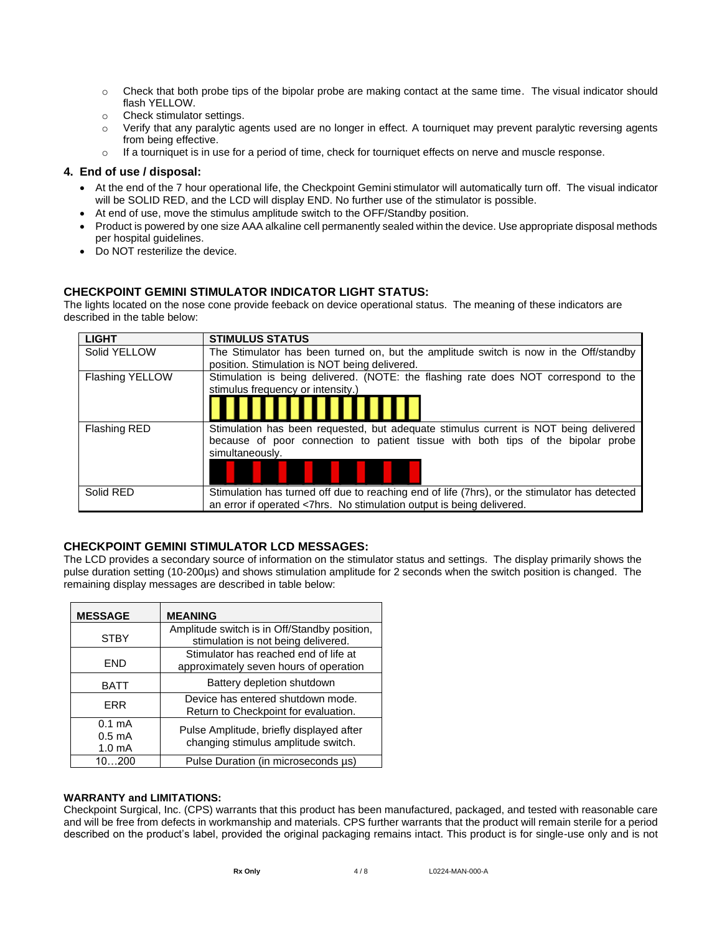- o Check that both probe tips of the bipolar probe are making contact at the same time. The visual indicator should flash YELLOW.
- o Check stimulator settings.
- o Verify that any paralytic agents used are no longer in effect. A tourniquet may prevent paralytic reversing agents from being effective.
- $\circ$  If a tourniquet is in use for a period of time, check for tourniquet effects on nerve and muscle response.

#### **4. End of use / disposal:**

- At the end of the 7 hour operational life, the Checkpoint Gemini stimulator will automatically turn off. The visual indicator will be SOLID RED, and the LCD will display END. No further use of the stimulator is possible.
- At end of use, move the stimulus amplitude switch to the OFF/Standby position.
- Product is powered by one size AAA alkaline cell permanently sealed within the device. Use appropriate disposal methods per hospital guidelines.
- Do NOT resterilize the device.

### **CHECKPOINT GEMINI STIMULATOR INDICATOR LIGHT STATUS:**

The lights located on the nose cone provide feeback on device operational status. The meaning of these indicators are described in the table below:

| <b>LIGHT</b>        | <b>STIMULUS STATUS</b>                                                                        |
|---------------------|-----------------------------------------------------------------------------------------------|
| Solid YELLOW        | The Stimulator has been turned on, but the amplitude switch is now in the Off/standby         |
|                     | position. Stimulation is NOT being delivered.                                                 |
| Flashing YELLOW     | Stimulation is being delivered. (NOTE: the flashing rate does NOT correspond to the           |
|                     | stimulus frequency or intensity.)                                                             |
|                     |                                                                                               |
| <b>Flashing RED</b> | Stimulation has been requested, but adequate stimulus current is NOT being delivered          |
|                     | because of poor connection to patient tissue with both tips of the bipolar probe              |
|                     | simultaneously.                                                                               |
|                     |                                                                                               |
| Solid RED           | Stimulation has turned off due to reaching end of life (7hrs), or the stimulator has detected |
|                     | an error if operated <7hrs. No stimulation output is being delivered.                         |

### **CHECKPOINT GEMINI STIMULATOR LCD MESSAGES:**

The LCD provides a secondary source of information on the stimulator status and settings. The display primarily shows the pulse duration setting (10-200µs) and shows stimulation amplitude for 2 seconds when the switch position is changed. The remaining display messages are described in table below:

| <b>MESSAGE</b>                                             | <b>MEANING</b>                                                                      |
|------------------------------------------------------------|-------------------------------------------------------------------------------------|
| <b>STBY</b>                                                | Amplitude switch is in Off/Standby position,<br>stimulation is not being delivered. |
| FND                                                        | Stimulator has reached end of life at<br>approximately seven hours of operation     |
| <b>BATT</b>                                                | Battery depletion shutdown                                                          |
| <b>FRR</b>                                                 | Device has entered shutdown mode.<br>Return to Checkpoint for evaluation.           |
| $0.1 \text{ mA}$<br>$0.5 \text{ mA}$<br>1.0 <sub>m</sub> A | Pulse Amplitude, briefly displayed after<br>changing stimulus amplitude switch.     |
| 10200                                                      | Pulse Duration (in microseconds us)                                                 |

#### **WARRANTY and LIMITATIONS:**

Checkpoint Surgical, Inc. (CPS) warrants that this product has been manufactured, packaged, and tested with reasonable care and will be free from defects in workmanship and materials. CPS further warrants that the product will remain sterile for a period described on the product's label, provided the original packaging remains intact. This product is for single-use only and is not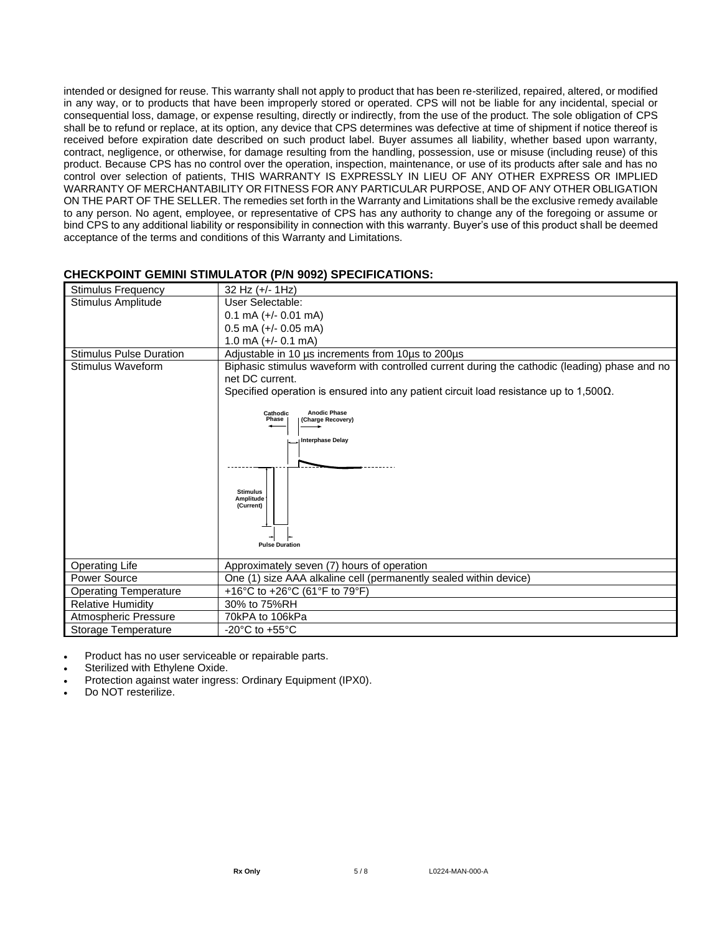intended or designed for reuse. This warranty shall not apply to product that has been re-sterilized, repaired, altered, or modified in any way, or to products that have been improperly stored or operated. CPS will not be liable for any incidental, special or consequential loss, damage, or expense resulting, directly or indirectly, from the use of the product. The sole obligation of CPS shall be to refund or replace, at its option, any device that CPS determines was defective at time of shipment if notice thereof is received before expiration date described on such product label. Buyer assumes all liability, whether based upon warranty, contract, negligence, or otherwise, for damage resulting from the handling, possession, use or misuse (including reuse) of this product. Because CPS has no control over the operation, inspection, maintenance, or use of its products after sale and has no control over selection of patients, THIS WARRANTY IS EXPRESSLY IN LIEU OF ANY OTHER EXPRESS OR IMPLIED WARRANTY OF MERCHANTABILITY OR FITNESS FOR ANY PARTICULAR PURPOSE, AND OF ANY OTHER OBLIGATION ON THE PART OF THE SELLER. The remedies set forth in the Warranty and Limitations shall be the exclusive remedy available to any person. No agent, employee, or representative of CPS has any authority to change any of the foregoing or assume or bind CPS to any additional liability or responsibility in connection with this warranty. Buyer's use of this product shall be deemed acceptance of the terms and conditions of this Warranty and Limitations.

### **CHECKPOINT GEMINI STIMULATOR (P/N 9092) SPECIFICATIONS:**

| <b>Stimulus Frequency</b>      | 32 Hz (+/- 1Hz)                                                                                                                                                                                                   |  |  |
|--------------------------------|-------------------------------------------------------------------------------------------------------------------------------------------------------------------------------------------------------------------|--|--|
| Stimulus Amplitude             | User Selectable:                                                                                                                                                                                                  |  |  |
|                                | $0.1$ mA $(+/- 0.01$ mA)                                                                                                                                                                                          |  |  |
|                                | $0.5$ mA (+/- 0.05 mA)                                                                                                                                                                                            |  |  |
|                                | 1.0 mA $(+/- 0.1$ mA)                                                                                                                                                                                             |  |  |
| <b>Stimulus Pulse Duration</b> | Adjustable in 10 µs increments from 10µs to 200µs                                                                                                                                                                 |  |  |
| Stimulus Waveform              | Biphasic stimulus waveform with controlled current during the cathodic (leading) phase and no<br>net DC current.<br>Specified operation is ensured into any patient circuit load resistance up to $1,500\Omega$ . |  |  |
|                                | <b>Anodic Phase</b><br>Cathodic<br>Phase<br>(Charge Recovery)<br><b>Interphase Delay</b><br><b>Stimulus</b><br>Amplitude<br>(Current)<br><b>Pulse Duration</b>                                                    |  |  |
| <b>Operating Life</b>          | Approximately seven (7) hours of operation                                                                                                                                                                        |  |  |
| Power Source                   | One (1) size AAA alkaline cell (permanently sealed within device)                                                                                                                                                 |  |  |
| <b>Operating Temperature</b>   | +16°C to +26°C (61°F to 79°F)                                                                                                                                                                                     |  |  |
| <b>Relative Humidity</b>       | 30% to 75%RH                                                                                                                                                                                                      |  |  |
| Atmospheric Pressure           | 70kPA to 106kPa                                                                                                                                                                                                   |  |  |
| Storage Temperature            | -20 $^{\circ}$ C to +55 $^{\circ}$ C                                                                                                                                                                              |  |  |

Product has no user serviceable or repairable parts.

Sterilized with Ethylene Oxide.

• Protection against water ingress: Ordinary Equipment (IPX0).

• Do NOT resterilize.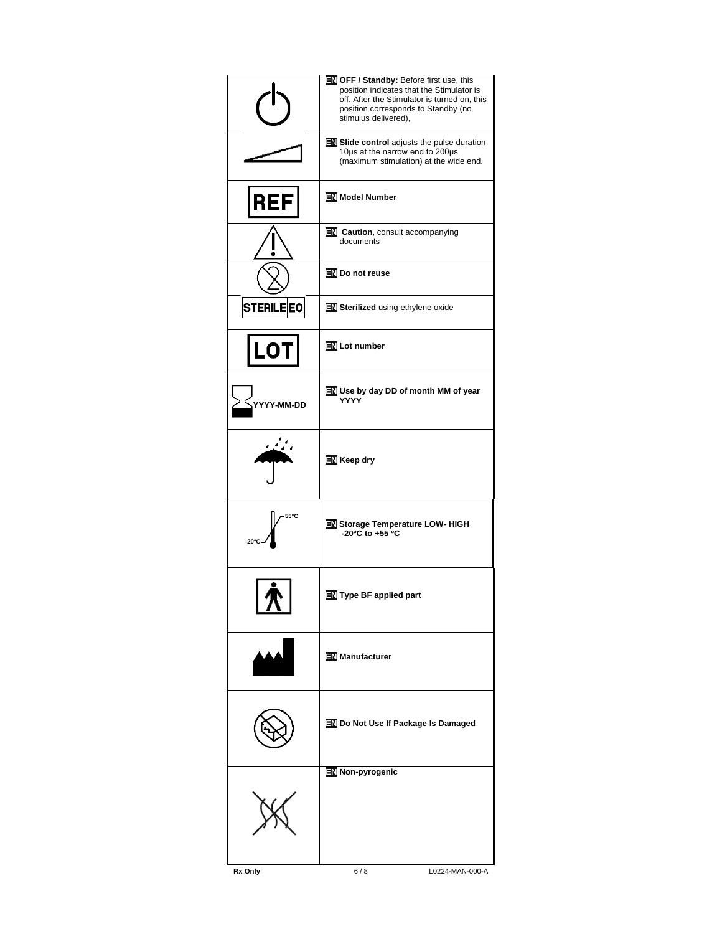|                         | EN OFF / Standby: Before first use, this<br>position indicates that the Stimulator is<br>off. After the Stimulator is turned on, this<br>position corresponds to Standby (no<br>stimulus delivered), |
|-------------------------|------------------------------------------------------------------------------------------------------------------------------------------------------------------------------------------------------|
|                         | <b>EN Slide control</b> adjusts the pulse duration<br>10µs at the narrow end to 200µs<br>(maximum stimulation) at the wide end.                                                                      |
| REF                     | <b>EN</b> Model Number                                                                                                                                                                               |
|                         | <b>EN</b> Caution, consult accompanying<br>documents                                                                                                                                                 |
|                         | EN Do not reuse                                                                                                                                                                                      |
| <b>STERILE EO</b>       | EN Sterilized using ethylene oxide                                                                                                                                                                   |
| LOT                     | <b>EN</b> Lot number                                                                                                                                                                                 |
| 'Y-MM-DD                | <b>EN</b> Use by day DD of month MM of year<br>YYYY                                                                                                                                                  |
|                         | <b>EN</b> Keep dry                                                                                                                                                                                   |
| 55°C<br>$-20^{\circ}$ C | EN Storage Temperature LOW- HIGH<br>-20°C to +55 °C                                                                                                                                                  |
|                         | Type BF applied part                                                                                                                                                                                 |
|                         | <b>EN</b> Manufacturer                                                                                                                                                                               |
|                         | <b>EN</b> Do Not Use If Package Is Damaged                                                                                                                                                           |
|                         | Non-pyrogenic                                                                                                                                                                                        |
| Rx Only                 | 6/8<br>L0224-MAN-000-A                                                                                                                                                                               |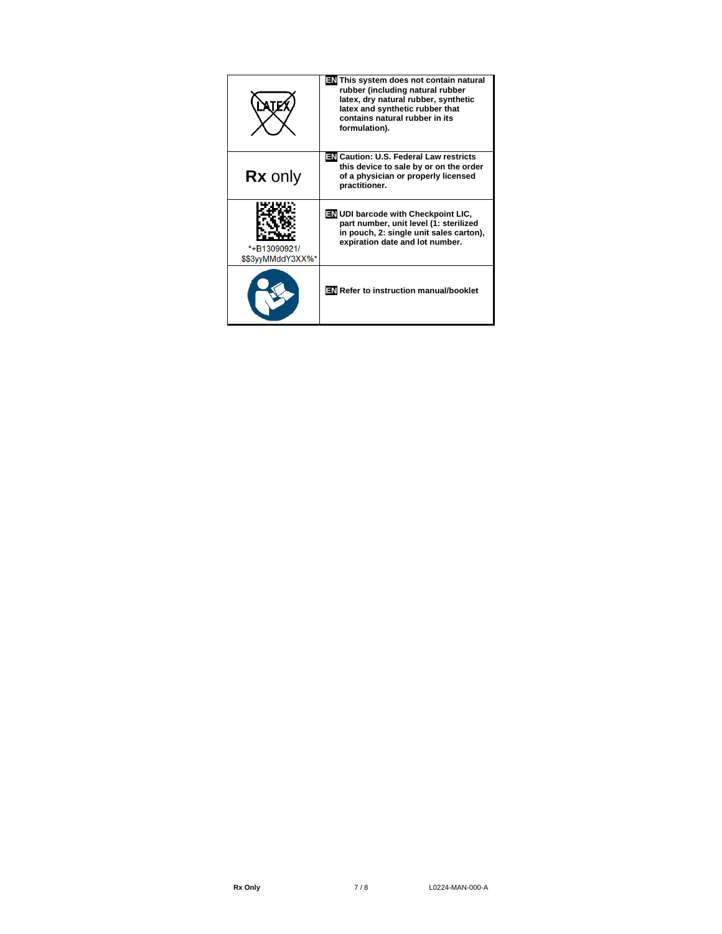|                                   | <b>EN</b> This system does not contain natural<br>rubber (including natural rubber<br>latex, dry natural rubber, synthetic<br>latex and synthetic rubber that<br>contains natural rubber in its<br>formulation). |
|-----------------------------------|------------------------------------------------------------------------------------------------------------------------------------------------------------------------------------------------------------------|
| <b>Rx</b> only                    | बारी Caution: U.S. Federal Law restricts<br>this device to sale by or on the order<br>of a physician or properly licensed<br>practitioner.                                                                       |
| *+B13090921/<br>\$\$3yyMMddY3XX%* | <b>EN UDI barcode with Checkpoint LIC.</b><br>part number, unit level (1: sterilized<br>in pouch, 2: single unit sales carton),<br>expiration date and lot number.                                               |
|                                   | EN Refer to instruction manual/booklet                                                                                                                                                                           |